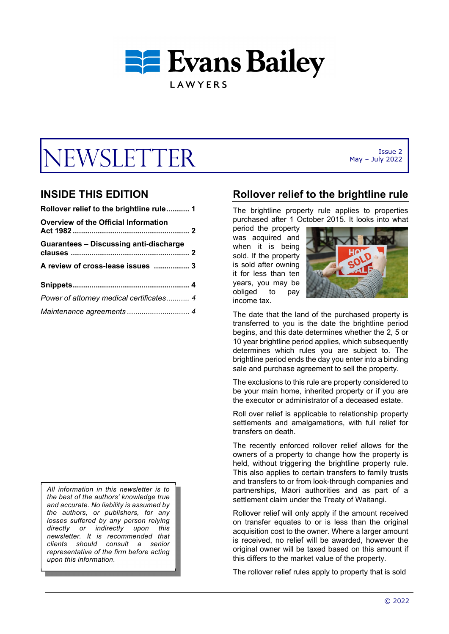

# $W\text{SLET} \text{TR}$  May - July 2022

## **INSIDE THIS EDITION**

| Rollover relief to the brightline rule 1      |
|-----------------------------------------------|
| <b>Overview of the Official Information</b>   |
| <b>Guarantees - Discussing anti-discharge</b> |
| A review of cross-lease issues  3             |
|                                               |
| Power of attorney medical certificates 4      |
|                                               |

*All information in this newsletter is to the best of the authors' knowledge true and accurate. No liability is assumed by the authors, or publishers, for any losses suffered by any person relying directly or indirectly upon this newsletter. It is recommended that clients should consult a senior representative of the firm before acting upon this information*.

**Rollover relief to the brightline rule** 

The brightline property rule applies to properties purchased after 1 October 2015. It looks into what

period the property was acquired and when it is being sold. If the property is sold after owning it for less than ten years, you may be obliged to pay income tax.



May – July 2022

The date that the land of the purchased property is transferred to you is the date the brightline period begins, and this date determines whether the 2, 5 or 10 year brightline period applies, which subsequently determines which rules you are subject to. The brightline period ends the day you enter into a binding sale and purchase agreement to sell the property.

The exclusions to this rule are property considered to be your main home, inherited property or if you are the executor or administrator of a deceased estate.

Roll over relief is applicable to relationship property settlements and amalgamations, with full relief for transfers on death.

The recently enforced rollover relief allows for the owners of a property to change how the property is held, without triggering the brightline property rule. This also applies to certain transfers to family trusts and transfers to or from look-through companies and partnerships, Māori authorities and as part of a settlement claim under the Treaty of Waitangi.

Rollover relief will only apply if the amount received on transfer equates to or is less than the original acquisition cost to the owner. Where a larger amount is received, no relief will be awarded, however the original owner will be taxed based on this amount if this differs to the market value of the property.

The rollover relief rules apply to property that is sold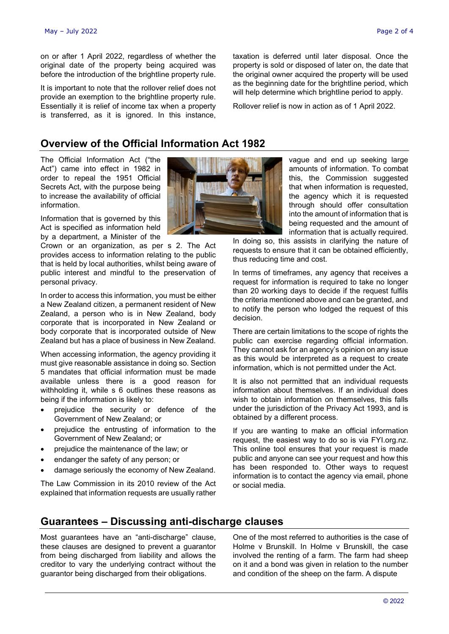on or after 1 April 2022, regardless of whether the original date of the property being acquired was before the introduction of the brightline property rule.

It is important to note that the rollover relief does not provide an exemption to the brightline property rule. Essentially it is relief of income tax when a property is transferred, as it is ignored. In this instance,

**Overview of the Official Information Act 1982** 

The Official Information Act ("the Act") came into effect in 1982 in order to repeal the 1951 Official Secrets Act, with the purpose being to increase the availability of official information.

Information that is governed by this Act is specified as information held by a department, a Minister of the

Crown or an organization, as per s 2. The Act provides access to information relating to the public that is held by local authorities, whilst being aware of public interest and mindful to the preservation of personal privacy.

In order to access this information, you must be either a New Zealand citizen, a permanent resident of New Zealand, a person who is in New Zealand, body corporate that is incorporated in New Zealand or body corporate that is incorporated outside of New Zealand but has a place of business in New Zealand.

When accessing information, the agency providing it must give reasonable assistance in doing so. Section 5 mandates that official information must be made available unless there is a good reason for withholding it, while s 6 outlines these reasons as being if the information is likely to:

- prejudice the security or defence of the Government of New Zealand; or
- prejudice the entrusting of information to the Government of New Zealand; or
- prejudice the maintenance of the law; or
- endanger the safety of any person; or
- damage seriously the economy of New Zealand.

The Law Commission in its 2010 review of the Act explained that information requests are usually rather



vague and end up seeking large amounts of information. To combat this, the Commission suggested that when information is requested, the agency which it is requested through should offer consultation into the amount of information that is being requested and the amount of information that is actually required.

In doing so, this assists in clarifying the nature of requests to ensure that it can be obtained efficiently, thus reducing time and cost.

taxation is deferred until later disposal. Once the property is sold or disposed of later on, the date that the original owner acquired the property will be used as the beginning date for the brightline period, which will help determine which brightline period to apply. Rollover relief is now in action as of 1 April 2022.

In terms of timeframes, any agency that receives a request for information is required to take no longer than 20 working days to decide if the request fulfils the criteria mentioned above and can be granted, and to notify the person who lodged the request of this decision.

There are certain limitations to the scope of rights the public can exercise regarding official information. They cannot ask for an agency's opinion on any issue as this would be interpreted as a request to create information, which is not permitted under the Act.

It is also not permitted that an individual requests information about themselves. If an individual does wish to obtain information on themselves, this falls under the jurisdiction of the Privacy Act 1993, and is obtained by a different process.

If you are wanting to make an official information request, the easiest way to do so is via FYI.org.nz. This online tool ensures that your request is made public and anyone can see your request and how this has been responded to. Other ways to request information is to contact the agency via email, phone or social media.

## **Guarantees – Discussing anti-discharge clauses**

Most guarantees have an "anti-discharge" clause, these clauses are designed to prevent a guarantor from being discharged from liability and allows the creditor to vary the underlying contract without the guarantor being discharged from their obligations.

One of the most referred to authorities is the case of Holme v Brunskill. In Holme v Brunskill, the case involved the renting of a farm. The farm had sheep on it and a bond was given in relation to the number and condition of the sheep on the farm. A dispute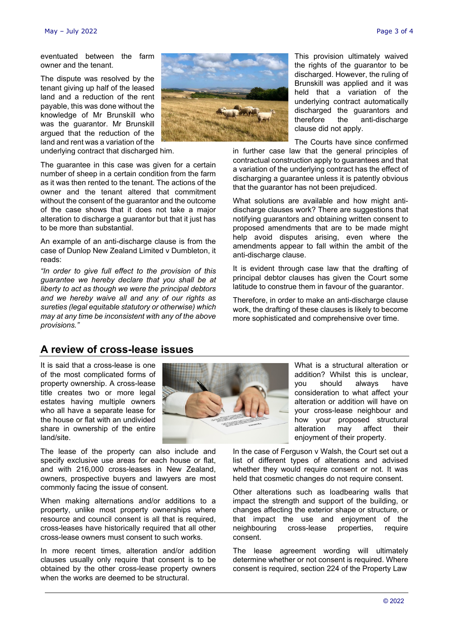eventuated between the farm owner and the tenant.

The dispute was resolved by the tenant giving up half of the leased land and a reduction of the rent payable, this was done without the knowledge of Mr Brunskill who was the guarantor. Mr Brunskill argued that the reduction of the land and rent was a variation of the underlying contract that discharged him.

The guarantee in this case was given for a certain number of sheep in a certain condition from the farm as it was then rented to the tenant. The actions of the owner and the tenant altered that commitment without the consent of the guarantor and the outcome of the case shows that it does not take a major alteration to discharge a guarantor but that it just has to be more than substantial.

An example of an anti-discharge clause is from the case of Dunlop New Zealand Limited v Dumbleton, it reads:

*"In order to give full effect to the provision of this guarantee we hereby declare that you shall be at liberty to act as though we were the principal debtors and we hereby waive all and any of our rights as sureties (legal equitable statutory or otherwise) which may at any time be inconsistent with any of the above provisions."* 



This provision ultimately waived the rights of the guarantor to be discharged. However, the ruling of Brunskill was applied and it was held that a variation of the underlying contract automatically discharged the guarantors and therefore the anti-discharge clause did not apply.

The Courts have since confirmed

in further case law that the general principles of contractual construction apply to guarantees and that a variation of the underlying contract has the effect of discharging a guarantee unless it is patently obvious that the guarantor has not been prejudiced.

What solutions are available and how might antidischarge clauses work? There are suggestions that notifying guarantors and obtaining written consent to proposed amendments that are to be made might help avoid disputes arising, even where the amendments appear to fall within the ambit of the anti-discharge clause.

It is evident through case law that the drafting of principal debtor clauses has given the Court some latitude to construe them in favour of the guarantor.

Therefore, in order to make an anti-discharge clause work, the drafting of these clauses is likely to become more sophisticated and comprehensive over time.

## **A review of cross-lease issues**

It is said that a cross-lease is one of the most complicated forms of property ownership. A cross-lease title creates two or more legal estates having multiple owners who all have a separate lease for the house or flat with an undivided share in ownership of the entire land/site.

The lease of the property can also include and specify exclusive use areas for each house or flat, and with 216,000 cross-leases in New Zealand, owners, prospective buyers and lawyers are most commonly facing the issue of consent.

When making alternations and/or additions to a property, unlike most property ownerships where resource and council consent is all that is required, cross-leases have historically required that all other cross-lease owners must consent to such works.

In more recent times, alteration and/or addition clauses usually only require that consent is to be obtained by the other cross-lease property owners when the works are deemed to be structural.



What is a structural alteration or addition? Whilst this is unclear, you should always have consideration to what affect your alteration or addition will have on your cross-lease neighbour and how your proposed structural alteration may affect their enjoyment of their property.

In the case of Ferguson v Walsh, the Court set out a list of different types of alterations and advised whether they would require consent or not. It was held that cosmetic changes do not require consent.

Other alterations such as loadbearing walls that impact the strength and support of the building, or changes affecting the exterior shape or structure, or that impact the use and enjoyment of the neighbouring cross-lease properties, require consent.

The lease agreement wording will ultimately determine whether or not consent is required. Where consent is required, section 224 of the Property Law